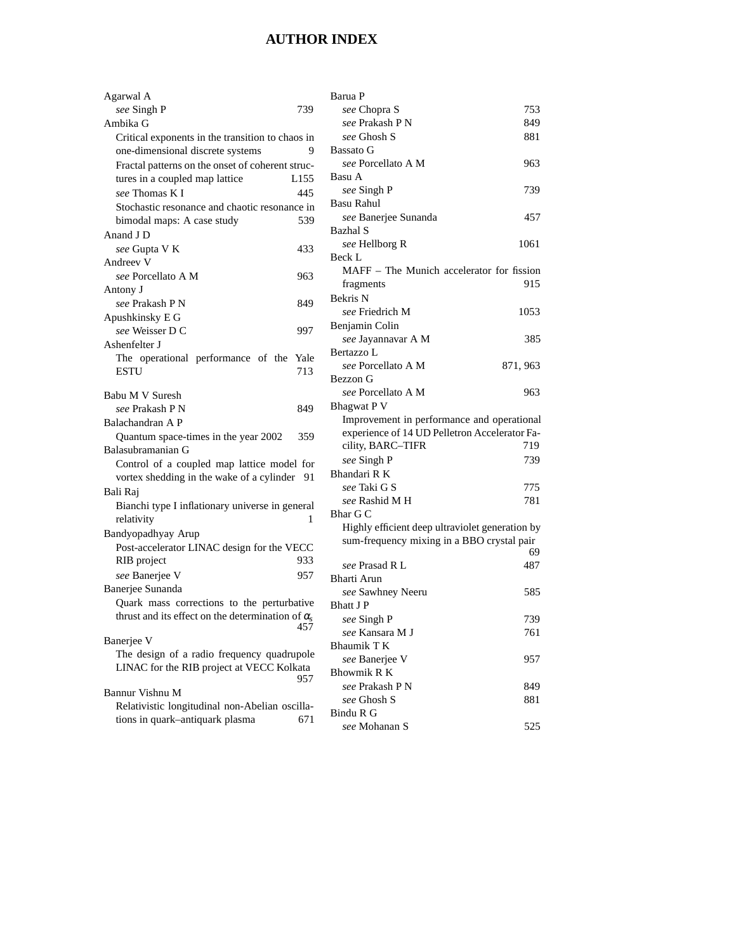## **AUTHOR INDEX**

| Agarwal A                                                |      | Barua P                                         |          |
|----------------------------------------------------------|------|-------------------------------------------------|----------|
| see Singh P                                              | 739  | see Chopra S                                    | 753      |
| Ambika G                                                 |      | see Prakash P N                                 | 849      |
| Critical exponents in the transition to chaos in         |      | see Ghosh S                                     | 881      |
| one-dimensional discrete systems                         | 9    | Bassato G                                       |          |
| Fractal patterns on the onset of coherent struc-         |      | see Porcellato A M                              | 963      |
| tures in a coupled map lattice                           | L155 | Basu A                                          |          |
| see Thomas K I                                           | 445  | see Singh P                                     | 739      |
| Stochastic resonance and chaotic resonance in            |      | Basu Rahul                                      |          |
| bimodal maps: A case study                               | 539  | see Banerjee Sunanda                            | 457      |
| Anand J D                                                |      | Bazhal S                                        |          |
| see Gupta V K                                            | 433  | see Hellborg R                                  | 1061     |
| Andreev <sub>V</sub>                                     |      | Beck L                                          |          |
| see Porcellato A M                                       | 963  | MAFF – The Munich accelerator for fission       |          |
| Antony J                                                 |      | fragments                                       | 915      |
| see Prakash P N                                          | 849  | Bekris N                                        |          |
| Apushkinsky E G                                          |      | see Friedrich M                                 | 1053     |
| see Weisser D C                                          | 997  | Benjamin Colin                                  |          |
| Ashenfelter J                                            |      | see Jayannavar A M                              | 385      |
| The operational performance of the                       | Yale | Bertazzo L                                      |          |
| <b>ESTU</b>                                              | 713  | see Porcellato A M                              | 871, 963 |
|                                                          |      | Bezzon G                                        |          |
| Babu M V Suresh                                          |      | see Porcellato A M                              | 963      |
| see Prakash P N                                          | 849  | <b>Bhagwat P V</b>                              |          |
| Balachandran A P                                         |      | Improvement in performance and operational      |          |
| Quantum space-times in the year 2002                     | 359  | experience of 14 UD Pelletron Accelerator Fa-   |          |
| Balasubramanian G                                        |      | cility, BARC-TIFR                               | 719      |
| Control of a coupled map lattice model for               |      | see Singh P                                     | 739      |
| vortex shedding in the wake of a cylinder 91             |      | Bhandari R K                                    |          |
| Bali Raj                                                 |      | see Taki G S                                    | 775      |
| Bianchi type I inflationary universe in general          |      | see Rashid M H                                  | 781      |
| relativity                                               | 1    | Bhar G C                                        |          |
| Bandyopadhyay Arup                                       |      | Highly efficient deep ultraviolet generation by |          |
| Post-accelerator LINAC design for the VECC               |      | sum-frequency mixing in a BBO crystal pair      | 69       |
| RIB project                                              | 933  | see Prasad R L                                  | 487      |
| see Banerjee V                                           | 957  | Bharti Arun                                     |          |
| Banerjee Sunanda                                         |      | see Sawhney Neeru                               | 585      |
| Quark mass corrections to the perturbative               |      | <b>Bhatt J P</b>                                |          |
| thrust and its effect on the determination of $\alpha_s$ |      | see Singh P                                     | 739      |
|                                                          | 457  | see Kansara M J                                 | 761      |
| Banerjee V                                               |      | Bhaumik T K                                     |          |
| The design of a radio frequency quadrupole               |      | see Banerjee V                                  | 957      |
| LINAC for the RIB project at VECC Kolkata                |      | <b>Bhowmik R K</b>                              |          |
|                                                          | 957  | see Prakash PN                                  | 849      |
| Bannur Vishnu M                                          |      | see Ghosh S                                     | 881      |
| Relativistic longitudinal non-Abelian oscilla-           |      | Bindu R G                                       |          |
| tions in quark-antiquark plasma                          | 671  | see Mohanan S                                   | 525      |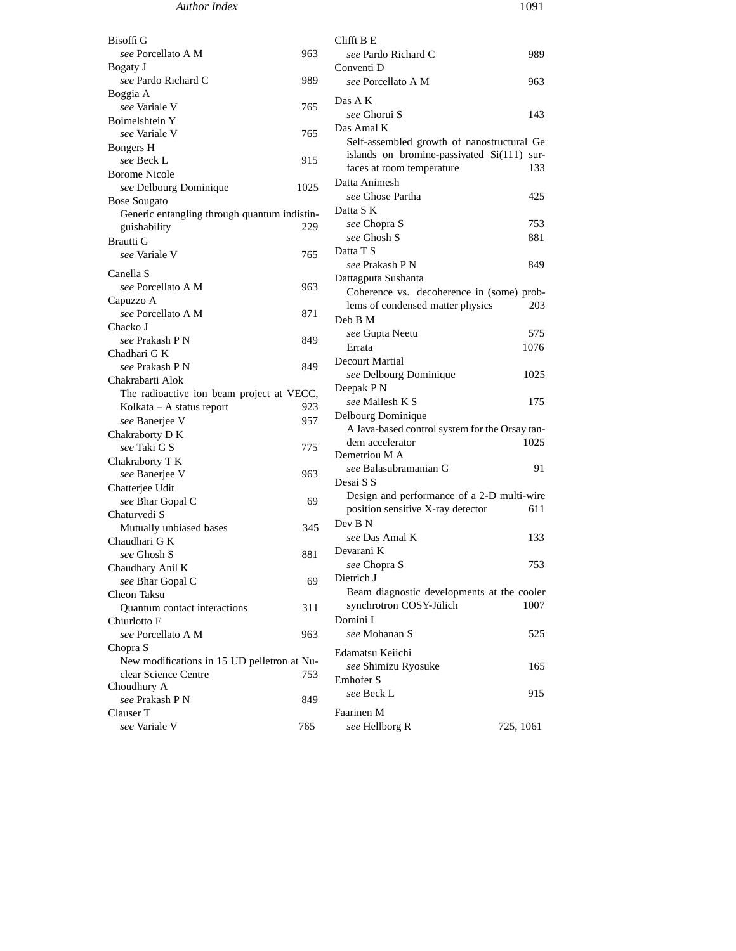| <b>Bisoffi</b> G                             |      | Clifft B E                                     |           |
|----------------------------------------------|------|------------------------------------------------|-----------|
| see Porcellato A M                           | 963  | see Pardo Richard C                            | 989       |
| Bogaty J                                     |      | Conventi D                                     |           |
| see Pardo Richard C                          | 989  | see Porcellato A M                             | 963       |
| Boggia A                                     |      |                                                |           |
| see Variale V                                | 765  | Das A K                                        |           |
| Boimelshtein Y                               |      | see Ghorui S                                   | 143       |
| see Variale V                                | 765  | Das Amal K                                     |           |
| Bongers H                                    |      | Self-assembled growth of nanostructural Ge     |           |
| see Beck L                                   | 915  | islands on bromine-passivated Si(111) sur-     |           |
| <b>Borome Nicole</b>                         |      | faces at room temperature                      | 133       |
| see Delbourg Dominique                       | 1025 | Datta Animesh                                  |           |
| <b>Bose Sougato</b>                          |      | see Ghose Partha                               | 425       |
| Generic entangling through quantum indistin- |      | Datta S K                                      |           |
| guishability                                 | 229  | see Chopra S                                   | 753       |
| Brautti G                                    |      | see Ghosh S                                    | 881       |
| see Variale V                                | 765  | Datta T S                                      |           |
| Canella S                                    |      | see Prakash P N                                | 849       |
| see Porcellato A M                           | 963  | Dattagputa Sushanta                            |           |
| Capuzzo A                                    |      | Coherence vs. decoherence in (some) prob-      |           |
| see Porcellato A M                           | 871  | lems of condensed matter physics               | 203       |
| Chacko J                                     |      | Deb B M                                        |           |
| see Prakash P N                              | 849  | see Gupta Neetu                                | 575       |
| Chadhari G K                                 |      | Errata                                         | 1076      |
| see Prakash P N                              | 849  | <b>Decourt Martial</b>                         |           |
| Chakrabarti Alok                             |      | see Delbourg Dominique                         | 1025      |
| The radioactive ion beam project at VECC,    |      | Deepak P N                                     |           |
| Kolkata – A status report                    | 923  | see Mallesh K S                                | 175       |
| see Banerjee V                               | 957  | Delbourg Dominique                             |           |
| Chakraborty D K                              |      | A Java-based control system for the Orsay tan- |           |
| see Taki G S                                 | 775  | dem accelerator                                | 1025      |
| Chakraborty T K                              |      | Demetriou M A                                  |           |
| see Banerjee V                               | 963  | see Balasubramanian G                          | 91        |
| Chatterjee Udit                              |      | Desai S S                                      |           |
| see Bhar Gopal C                             | 69   | Design and performance of a 2-D multi-wire     |           |
| Chaturvedi S                                 |      | position sensitive X-ray detector              | 611       |
| Mutually unbiased bases                      | 345  | Dev B N                                        |           |
| Chaudhari G K                                |      | see Das Amal K                                 | 133       |
| see Ghosh S                                  | 881  | Devarani K                                     |           |
| Chaudhary Anil K                             |      | see Chopra S                                   | 753       |
| see Bhar Gopal C                             | 69   | Dietrich J                                     |           |
| Cheon Taksu                                  |      | Beam diagnostic developments at the cooler     |           |
| Quantum contact interactions                 | 311  | synchrotron COSY-Jülich                        | 1007      |
| Chiurlotto F                                 |      | Domini I                                       |           |
| see Porcellato A M                           | 963  | see Mohanan S                                  | 525       |
| Chopra S                                     |      |                                                |           |
| New modifications in 15 UD pelletron at Nu-  |      | Edamatsu Keiichi                               |           |
| clear Science Centre                         | 753  | see Shimizu Ryosuke                            | 165       |
| Choudhury A                                  |      | Emhofer S                                      |           |
| see Prakash P N                              | 849  | see Beck L                                     | 915       |
| Clauser T                                    |      | Faarinen M                                     |           |
| see Variale V                                | 765  | see Hellborg R                                 | 725, 1061 |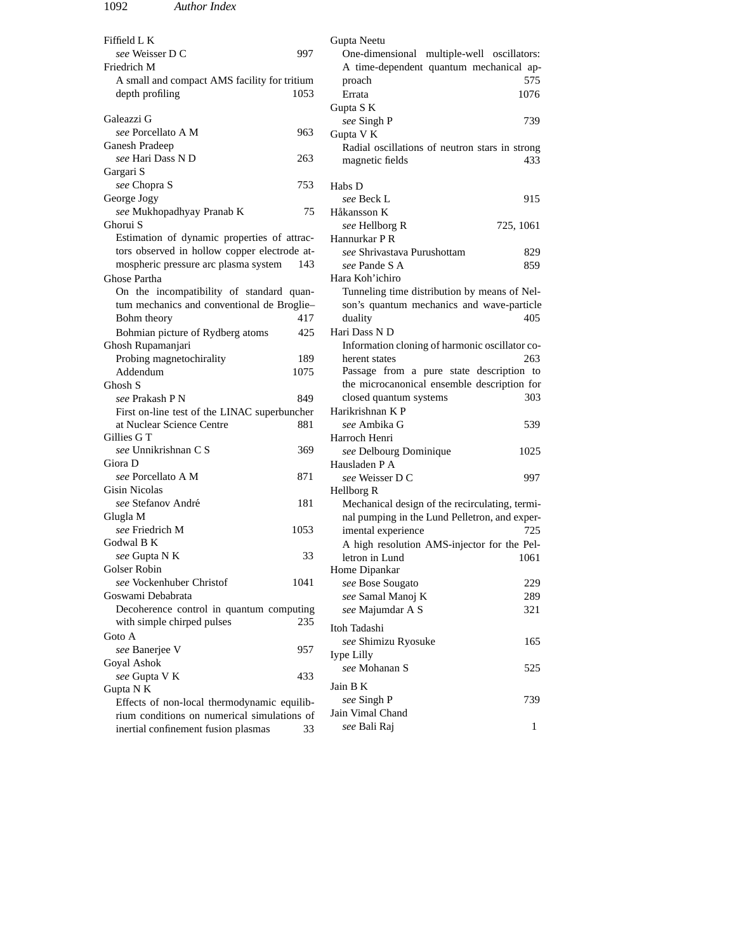| Fiffield L K                                 | Gupta Neetu                                    |
|----------------------------------------------|------------------------------------------------|
| see Weisser D C<br>997                       | One-dimensional multiple-well oscillators:     |
| Friedrich M                                  | A time-dependent quantum mechanical ap-        |
| A small and compact AMS facility for tritium | 575<br>proach                                  |
| 1053<br>depth profiling                      | Errata<br>1076                                 |
|                                              | Gupta SK                                       |
| Galeazzi G                                   | 739<br>see Singh P                             |
| see Porcellato A M<br>963                    | Gupta V K                                      |
| Ganesh Pradeep                               | Radial oscillations of neutron stars in strong |
| see Hari Dass N D<br>263                     | magnetic fields<br>433                         |
| Gargari S                                    |                                                |
| see Chopra S<br>753                          | Habs D                                         |
| George Jogy                                  | 915<br>see Beck L                              |
| see Mukhopadhyay Pranab K<br>75              | Håkansson K                                    |
| Ghorui S                                     | see Hellborg R<br>725, 1061                    |
| Estimation of dynamic properties of attrac-  | Hannurkar P R                                  |
| tors observed in hollow copper electrode at- | see Shrivastava Purushottam<br>829             |
| mospheric pressure arc plasma system<br>143  | see Pande S A<br>859                           |
| Ghose Partha                                 | Hara Koh'ichiro                                |
|                                              | Tunneling time distribution by means of Nel-   |
| On the incompatibility of standard quan-     |                                                |
| tum mechanics and conventional de Broglie-   | son's quantum mechanics and wave-particle      |
| Bohm theory<br>417                           | duality<br>405                                 |
| Bohmian picture of Rydberg atoms<br>425      | Hari Dass N D                                  |
| Ghosh Rupamanjari                            | Information cloning of harmonic oscillator co- |
| Probing magnetochirality<br>189              | 263<br>herent states                           |
| Addendum<br>1075                             | Passage from a pure state description to       |
| Ghosh S                                      | the microcanonical ensemble description for    |
| <i>see</i> Prakash P N<br>849                | closed quantum systems<br>303                  |
| First on-line test of the LINAC superbuncher | Harikrishnan K P                               |
| 881<br>at Nuclear Science Centre             | see Ambika G<br>539                            |
| Gillies G T                                  | Harroch Henri                                  |
| see Unnikrishnan C S<br>369                  | see Delbourg Dominique<br>1025                 |
| Giora D                                      | Hausladen P A                                  |
| see Porcellato A M<br>871                    | see Weisser D C<br>997                         |
| Gisin Nicolas                                | Hellborg R                                     |
| see Stefanov André<br>181                    | Mechanical design of the recirculating, termi- |
| Glugla M                                     | nal pumping in the Lund Pelletron, and exper-  |
| see Friedrich M<br>1053                      | imental experience<br>725                      |
| Godwal B K                                   | A high resolution AMS-injector for the Pel-    |
| see Gupta N K<br>33                          | letron in Lund<br>1061                         |
| Golser Robin                                 | Home Dipankar                                  |
| see Vockenhuber Christof<br>1041             | see Bose Sougato<br>229                        |
| Goswami Debabrata                            | see Samal Manoj K<br>289.                      |
| Decoherence control in quantum computing     | see Majumdar A S<br>321                        |
| with simple chirped pulses<br>235            | Itoh Tadashi                                   |
| Goto A                                       |                                                |
| see Banerjee V<br>957                        | see Shimizu Ryosuke<br>165                     |
| Goyal Ashok                                  | Iype Lilly                                     |
| see Gupta V K<br>433                         | see Mohanan S<br>525                           |
| Gupta N K                                    | Jain B K                                       |
| Effects of non-local thermodynamic equilib-  | see Singh P<br>739                             |
| rium conditions on numerical simulations of  | Jain Vimal Chand                               |
| inertial confinement fusion plasmas<br>33    | see Bali Raj<br>$\mathbf{1}$                   |
|                                              |                                                |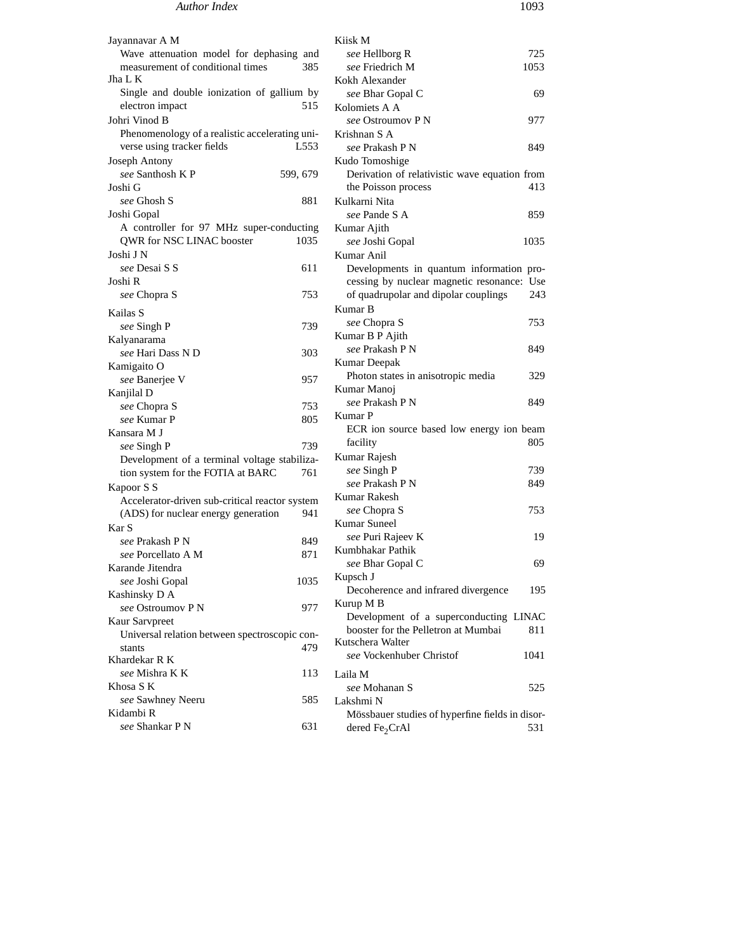## *Author Index* 1093

Jayannavar A M Wave attenuation model for dephasing and measurement of conditional times 385 Jha L K Single and double ionization of gallium by electron impact 515 Johri Vinod B Phenomenology of a realistic accelerating universe using tracker fields L553 Joseph Antony *see* Santhosh K P 599, 679 Joshi G *see* Ghosh S 881 Joshi Gopal A controller for 97 MHz super-conducting QWR for NSC LINAC booster 1035 Joshi J N *see* Desai S S 611 Joshi R *see* Chopra S 753 Kailas S *see* Singh P 739 Kalyanarama *see* Hari Dass N D 303 Kamigaito O *see* Banerjee V 957 Kanjilal D *see* Chopra S 753 *see* Kumar P 805 Kansara M J *see* Singh P 739 Development of a terminal voltage stabilization system for the FOTIA at BARC 761 Kapoor S S Accelerator-driven sub-critical reactor system (ADS) for nuclear energy generation 941 Kar S *see* Prakash P N 849 *see* Porcellato A M 871 Karande Jitendra *see* Joshi Gopal 1035 Kashinsky D A *see* Ostroumov P N 977 Kaur Sarvpreet Universal relation between spectroscopic constants 479 Khardekar R K *see* Mishra K K 113 Khosa S K *see* Sawhney Neeru 585 Kidambi R *see* Shankar P N 631 Kiisk M *see* Hellborg R 725 *see* Friedrich M 1053 Kokh Alexander **see Bhar Gopal C** 69 Kolomiets A A *see* Ostroumov P N 977 Krishnan S A *see* Prakash P N 849 Kudo Tomoshige Derivation of relativistic wave equation from the Poisson process 413 Kulkarni Nita *see* Pande S A 859 Kumar Ajith *see* Joshi Gopal 1035 Kumar Anil Developments in quantum information processing by nuclear magnetic resonance: Use of quadrupolar and dipolar couplings 243 Kumar B *see* Chopra S 753 Kumar B P Ajith *see* Prakash P N 849 Kumar Deepak Photon states in anisotropic media 329 Kumar Manoj *see* Prakash P N 849 Kumar P ECR ion source based low energy ion beam facility 805 Kumar Rajesh *see* Singh P 739 *see* Prakash P N 849 Kumar Rakesh *see* Chopra S 753 Kumar Suneel *see* Puri Rajeev K 19 Kumbhakar Pathik *see* Bhar Gopal C 69 Kupsch J Decoherence and infrared divergence 195 Kurup M B Development of a superconducting LINAC booster for the Pelletron at Mumbai 811 Kutschera Walter *see* Vockenhuber Christof 1041 Laila M *see* Mohanan S 525 Lakshmi N Mössbauer studies of hyperfine fields in disordered  $Fe<sub>2</sub>CrAl$  531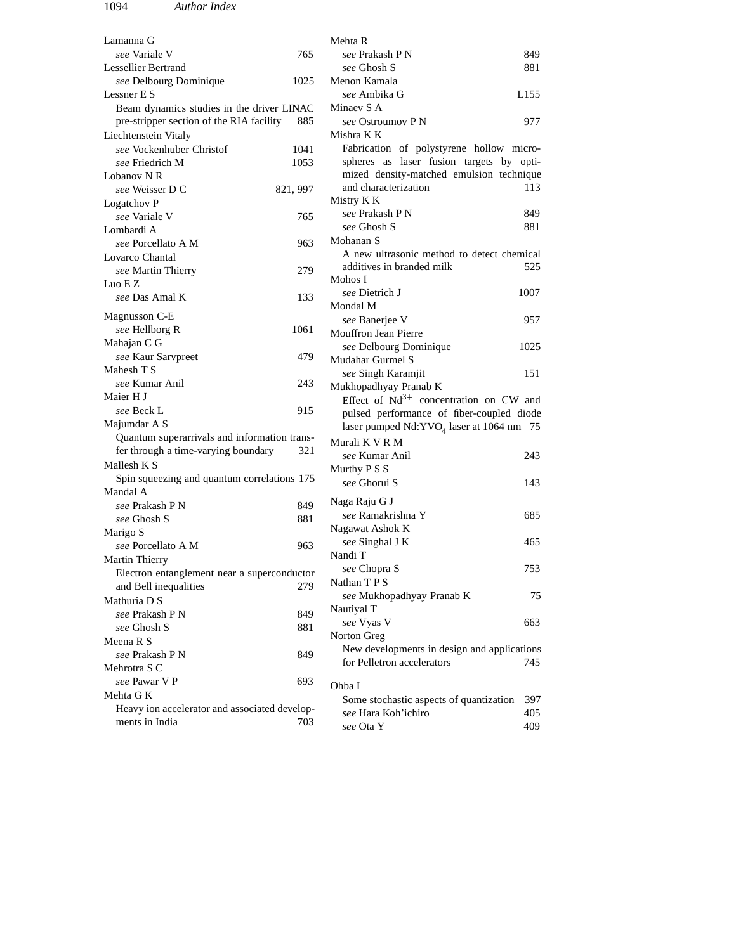| Lamanna G                                     |          | Mehta R                                     |      |
|-----------------------------------------------|----------|---------------------------------------------|------|
| see Variale V                                 | 765      | <i>see</i> Prakash P N                      | 849  |
| Lessellier Bertrand                           |          | see Ghosh S                                 | 881  |
| see Delbourg Dominique                        | 1025     | Menon Kamala                                |      |
| Lessner E S                                   |          | see Ambika G                                | L155 |
| Beam dynamics studies in the driver LINAC     |          | Minaev S A                                  |      |
| pre-stripper section of the RIA facility      | 885      | <i>see</i> Ostroumov P N                    | 977  |
| Liechtenstein Vitaly                          |          | Mishra K K                                  |      |
| see Vockenhuber Christof                      | 1041     | Fabrication of polystyrene hollow micro-    |      |
| see Friedrich M                               | 1053     | spheres as laser fusion targets by opti-    |      |
| Lobanov N R                                   |          | mized density-matched emulsion technique    |      |
| see Weisser D C                               | 821, 997 | and characterization                        | 113  |
| Logatchov P                                   |          | Mistry K K                                  |      |
| see Variale V                                 | 765      | <i>see</i> Prakash P N                      | 849  |
| Lombardi A                                    |          | see Ghosh S                                 | 881  |
| see Porcellato A M                            | 963      | Mohanan S                                   |      |
| Lovarco Chantal                               |          | A new ultrasonic method to detect chemical  |      |
| see Martin Thierry                            | 279      | additives in branded milk                   | 525  |
| Luo E Z                                       |          | Mohos I                                     |      |
| see Das Amal K                                | 133      | see Dietrich J                              | 1007 |
|                                               |          | Mondal M                                    |      |
| Magnusson C-E                                 |          | see Banerjee V                              | 957  |
| see Hellborg R                                | 1061     | <b>Mouffron Jean Pierre</b>                 |      |
| Mahajan C G                                   |          | see Delbourg Dominique                      | 1025 |
| see Kaur Sarvpreet                            | 479      | Mudahar Gurmel S                            |      |
| Mahesh T S                                    |          | see Singh Karamjit                          | 151  |
| see Kumar Anil                                | 243      | Mukhopadhyay Pranab K                       |      |
| Maier H J                                     |          | Effect of $Nd^{3+}$ concentration on CW and |      |
| see Beck L                                    | 915      | pulsed performance of fiber-coupled diode   |      |
| Majumdar A S                                  |          | laser pumped $Nd:YVO4$ laser at 1064 nm 75  |      |
| Quantum superarrivals and information trans-  |          | Murali K V R M                              |      |
| fer through a time-varying boundary           | 321      | see Kumar Anil                              | 243  |
| Mallesh K S                                   |          |                                             |      |
| Spin squeezing and quantum correlations 175   |          | Murthy P S S                                |      |
| Mandal A                                      |          | see Ghorui S                                | 143  |
| see Prakash P N                               | 849      | Naga Raju G J                               |      |
| see Ghosh S                                   | 881      | see Ramakrishna Y                           | 685  |
| Marigo S                                      |          | Nagawat Ashok K                             |      |
| see Porcellato A M                            | 963      | see Singhal J K                             | 465  |
| Martin Thierry                                |          | Nandi T                                     |      |
| Electron entanglement near a superconductor   |          | see Chopra S                                | 753  |
| and Bell inequalities                         | 279      | Nathan TPS                                  |      |
| Mathuria D S                                  |          | see Mukhopadhyay Pranab K                   | 75   |
| see Prakash P N                               | 849      | Nautiyal T                                  |      |
|                                               |          | see Vyas V                                  | 663  |
| see Ghosh S                                   | 881      | Norton Greg                                 |      |
| Meena R S                                     |          | New developments in design and applications |      |
| see Prakash P N                               | 849      | for Pelletron accelerators                  | 745  |
| Mehrotra S C                                  |          |                                             |      |
| see Pawar V P                                 | 693      | Ohba I                                      |      |
| Mehta G K                                     |          | Some stochastic aspects of quantization     | 397  |
| Heavy ion accelerator and associated develop- |          | see Hara Koh'ichiro                         | 405  |
| ments in India                                | 703      | see Ota Y                                   | 409  |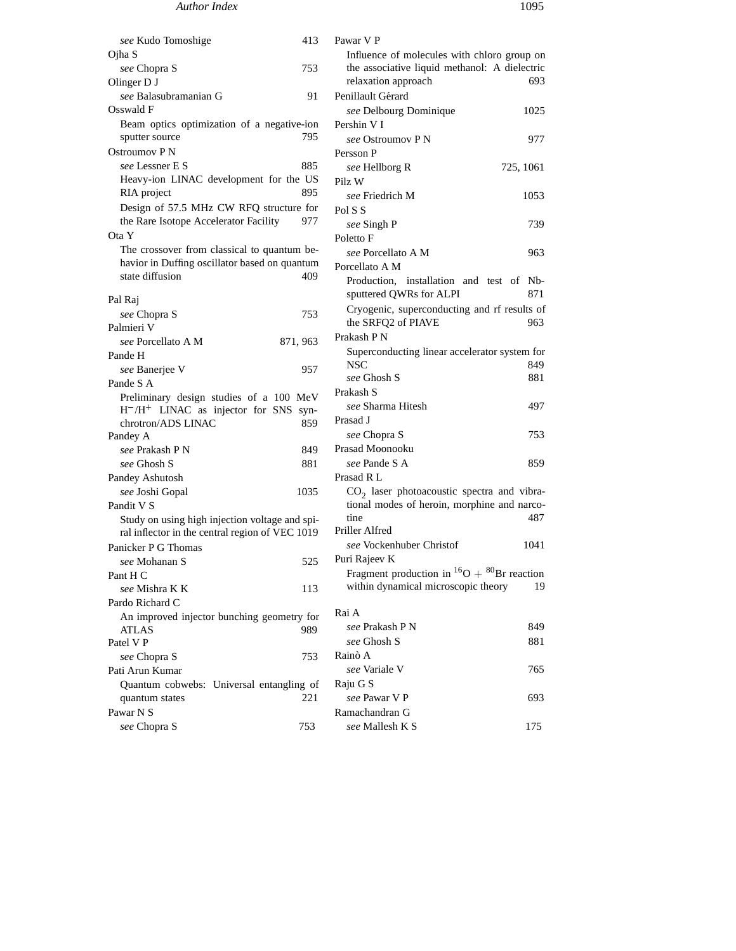## *Author Index* 1095

| see Kudo Tomoshige                                               | 413      | Pawar V P                                              |           |
|------------------------------------------------------------------|----------|--------------------------------------------------------|-----------|
| Ojha S                                                           |          | Influence of molecules with chloro group on            |           |
| see Chopra S                                                     | 753      | the associative liquid methanol: A dielectric          |           |
| Olinger D J                                                      |          | relaxation approach                                    | 693       |
| see Balasubramanian G                                            | 91       | Penillault Gérard                                      |           |
| Osswald F                                                        |          | see Delbourg Dominique                                 | 1025      |
| Beam optics optimization of a negative-ion                       |          | Pershin V I                                            |           |
| sputter source                                                   | 795      | see Ostroumov P N                                      | 977       |
| Ostroumov P N                                                    |          | Persson P                                              |           |
| see Lessner E S                                                  | 885      | see Hellborg R                                         | 725, 1061 |
| Heavy-ion LINAC development for the US                           |          | Pilz W                                                 |           |
| RIA project                                                      | 895      | see Friedrich M                                        | 1053      |
| Design of 57.5 MHz CW RFQ structure for                          |          |                                                        |           |
| the Rare Isotope Accelerator Facility                            | 977      | Pol S S                                                |           |
| Ota Y                                                            |          | see Singh P                                            | 739       |
|                                                                  |          | Poletto F                                              |           |
| The crossover from classical to quantum be-                      |          | see Porcellato A M                                     | 963       |
| havior in Duffing oscillator based on quantum<br>state diffusion | 409      | Porcellato A M                                         |           |
|                                                                  |          | Production, installation and test of Nb-               |           |
| Pal Raj                                                          |          | sputtered QWRs for ALPI                                | 871       |
| see Chopra S                                                     | 753      | Cryogenic, superconducting and rf results of           |           |
| Palmieri V                                                       |          | the SRFQ2 of PIAVE                                     | 963       |
| see Porcellato A M                                               | 871, 963 | Prakash P N                                            |           |
| Pande H                                                          |          | Superconducting linear accelerator system for          |           |
| see Banerjee V                                                   | 957      | <b>NSC</b>                                             | 849.      |
| Pande S A                                                        |          | see Ghosh S                                            | 881       |
| Preliminary design studies of a 100 MeV                          |          | Prakash S                                              |           |
| $H^-/H^+$ LINAC as injector for SNS syn-                         |          | see Sharma Hitesh                                      | 497       |
| chrotron/ADS LINAC                                               | 859      | Prasad J                                               |           |
| Pandey A                                                         |          | see Chopra S                                           | 753       |
| see Prakash P N                                                  | 849      | Prasad Moonooku                                        |           |
| see Ghosh S                                                      | 881      | see Pande S A                                          | 859       |
| Pandey Ashutosh                                                  |          | Prasad R L                                             |           |
| see Joshi Gopal                                                  | 1035     | $CO2$ laser photoacoustic spectra and vibra-           |           |
| Pandit V S                                                       |          | tional modes of heroin, morphine and narco-            |           |
| Study on using high injection voltage and spi-                   |          | tine                                                   | 487.      |
| ral inflector in the central region of VEC 1019                  |          | Priller Alfred                                         |           |
| Panicker P G Thomas                                              |          | see Vockenhuber Christof                               | 1041      |
| see Mohanan S                                                    | 525      | Puri Rajeev K                                          |           |
| Pant H C                                                         |          | Fragment production in ${}^{16}O + {}^{80}Br$ reaction |           |
| see Mishra K K                                                   | 113      | within dynamical microscopic theory                    | 19        |
| Pardo Richard C                                                  |          |                                                        |           |
|                                                                  |          | Rai A                                                  |           |
| An improved injector bunching geometry for<br>ATLAS              | 989      | see Prakash P N                                        | 849       |
| Patel V P                                                        |          | see Ghosh S                                            | 881       |
| see Chopra S                                                     | 753      | Rainò A                                                |           |
|                                                                  |          | see Variale V                                          | 765       |
| Pati Arun Kumar<br>Quantum cobwebs: Universal entangling of      |          |                                                        |           |
| quantum states                                                   | 221      | Raju G S<br>see Pawar V P                              | 693       |
|                                                                  |          | Ramachandran G                                         |           |
| Pawar N S                                                        |          |                                                        |           |
| see Chopra S                                                     | 753      | see Mallesh K S                                        | 175       |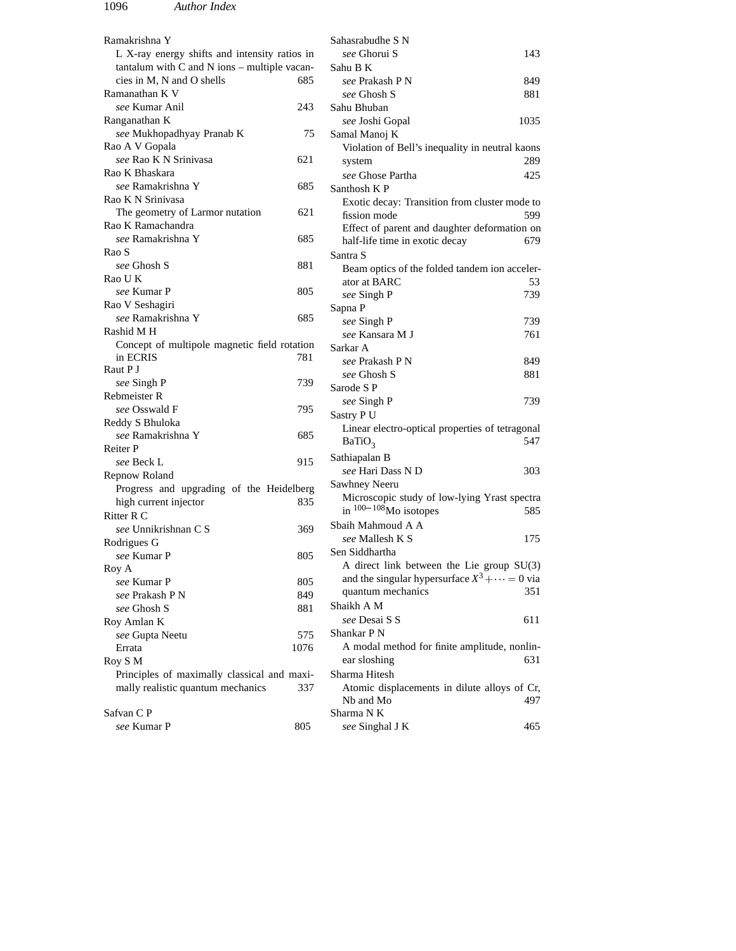| Ramakrishna Y                                    |      | Sahasrabudhe S N                                                                                    |      |
|--------------------------------------------------|------|-----------------------------------------------------------------------------------------------------|------|
| L X-ray energy shifts and intensity ratios in    |      | see Ghorui S                                                                                        | 143  |
| tantalum with $C$ and $N$ ions – multiple vacan- |      | Sahu B K                                                                                            |      |
| cies in M, N and O shells                        | 685  | see Prakash P N                                                                                     | 849  |
| Ramanathan K V                                   |      | see Ghosh S                                                                                         | 881  |
| see Kumar Anil                                   | 243  | Sahu Bhuban                                                                                         |      |
| Ranganathan K                                    |      | see Joshi Gopal                                                                                     | 1035 |
| see Mukhopadhyay Pranab K                        | 75   | Samal Manoj K                                                                                       |      |
| Rao A V Gopala                                   |      | Violation of Bell's inequality in neutral kaons                                                     |      |
| see Rao K N Srinivasa                            | 621  | system                                                                                              | 289  |
| Rao K Bhaskara                                   |      | see Ghose Partha                                                                                    | 425  |
| see Ramakrishna Y                                | 685  | Santhosh KP                                                                                         |      |
| Rao K N Srinivasa                                |      | Exotic decay: Transition from cluster mode to                                                       |      |
| The geometry of Larmor nutation                  | 621  | fission mode                                                                                        | 599  |
| Rao K Ramachandra                                |      | Effect of parent and daughter deformation on                                                        |      |
| see Ramakrishna Y                                | 685  | half-life time in exotic decay                                                                      | 679  |
| Rao S                                            |      | Santra S                                                                                            |      |
| see Ghosh S                                      | 881  | Beam optics of the folded tandem ion acceler-                                                       |      |
| Rao U K                                          |      | ator at BARC                                                                                        | 53   |
| see Kumar P                                      | 805  | see Singh P                                                                                         | 739  |
| Rao V Seshagiri                                  |      | Sapna P                                                                                             |      |
| see Ramakrishna Y                                | 685  | see Singh P                                                                                         | 739  |
| Rashid M H                                       |      | see Kansara M J                                                                                     | 761  |
| Concept of multipole magnetic field rotation     |      | Sarkar A                                                                                            |      |
| in ECRIS                                         | 781  | see Prakash P N                                                                                     | 849  |
| Raut P J                                         |      | see Ghosh S                                                                                         | 881  |
| see Singh P                                      | 739  | Sarode S P                                                                                          |      |
| Rebmeister R                                     |      | see Singh P                                                                                         | 739  |
| see Osswald F                                    | 795  | Sastry P U                                                                                          |      |
| Reddy S Bhuloka                                  |      | Linear electro-optical properties of tetragonal                                                     |      |
| see Ramakrishna Y                                | 685  | BaTiO <sub>3</sub>                                                                                  | 547  |
| Reiter P                                         |      | Sathiapalan B                                                                                       |      |
| see Beck L                                       | 915  | see Hari Dass N D                                                                                   | 303  |
| Repnow Roland                                    |      | Sawhney Neeru                                                                                       |      |
| Progress and upgrading of the Heidelberg         |      | Microscopic study of low-lying Yrast spectra                                                        |      |
| high current injector                            | 835  | in $100-108$ Mo isotopes                                                                            | 585  |
| Ritter R C                                       |      | Sbaih Mahmoud A A                                                                                   |      |
| see Unnikrishnan C S                             | 369  | see Mallesh K S                                                                                     | 175  |
| Rodrigues G                                      |      | Sen Siddhartha                                                                                      |      |
| see Kumar P                                      | 805  |                                                                                                     |      |
| Roy A                                            |      | A direct link between the Lie group $SU(3)$<br>and the singular hypersurface $X^3 + \cdots = 0$ via |      |
| see Kumar P                                      | 805  | quantum mechanics                                                                                   | 351  |
| see Prakash P N                                  | 849  | Shaikh A M                                                                                          |      |
| see Ghosh S                                      | 881  | see Desai S S                                                                                       |      |
| Roy Amlan K                                      |      | Shankar P N                                                                                         | 611  |
| see Gupta Neetu                                  | 575  |                                                                                                     |      |
| Errata                                           | 1076 | A modal method for finite amplitude, nonlin-                                                        |      |
| Roy S M                                          |      | ear sloshing                                                                                        | 631  |
| Principles of maximally classical and maxi-      |      | Sharma Hitesh                                                                                       |      |
| mally realistic quantum mechanics                | 337  | Atomic displacements in dilute alloys of Cr,                                                        |      |
|                                                  |      | Nb and Mo                                                                                           | 497  |
| Safvan C P<br>see Kumar P                        |      | Sharma N K                                                                                          |      |
|                                                  | 805  | see Singhal J K                                                                                     | 465  |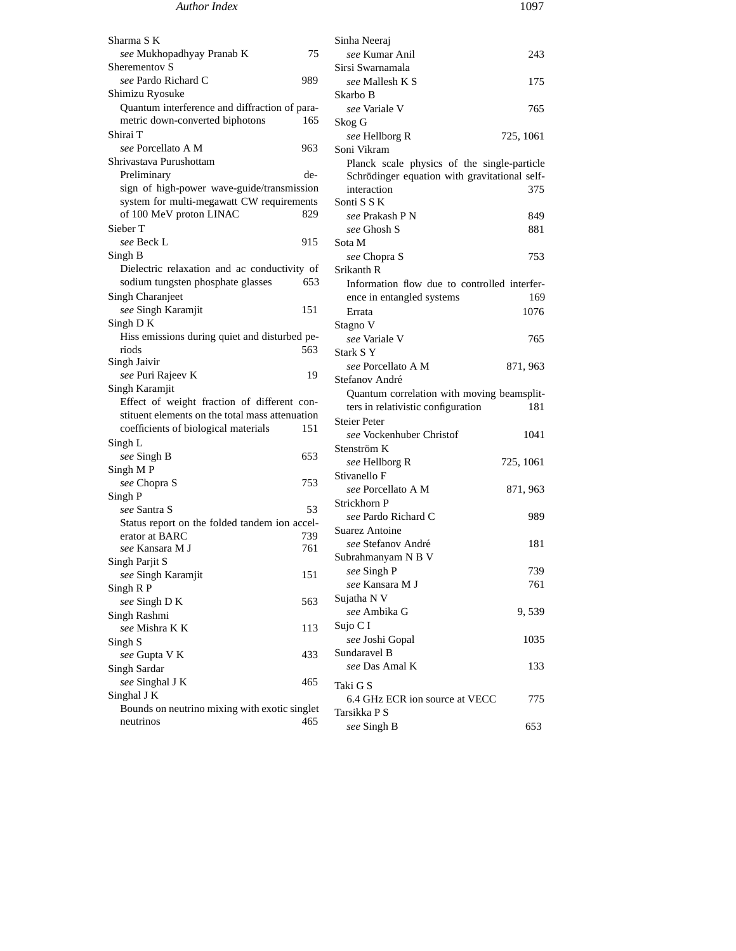## *Author Index* 1097

Sharma S K *see* Mukhopadhyay Pranab K 75 Sherementov S *see* Pardo Richard C 989 Shimizu Ryosuke Quantum interference and diffraction of parametric down-converted biphotons 165 Shirai T *see* Porcellato A M 963 Shrivastava Purushottam Preliminary design of high-power wave-guide/transmission system for multi-megawatt CW requirements of 100 MeV proton LINAC 829 Sieber T *see* Beck L 915 Singh B Dielectric relaxation and ac conductivity of sodium tungsten phosphate glasses 653 Singh Charanjeet *see* Singh Karamjit 151 Singh D K Hiss emissions during quiet and disturbed periods 563 Singh Jaivir *see* Puri Rajeev K 19 Singh Karamjit Effect of weight fraction of different constituent elements on the total mass attenuation coefficients of biological materials 151 Singh L *see* Singh B 653 Singh M P *see* Chopra S 753 Singh P *see* Santra S 53 Status report on the folded tandem ion accelerator at BARC 739 *see* Kansara M J 761 Singh Parjit S **see Singh Karamjit** 151 Singh R P *see* Singh D K 563 Singh Rashmi *see* Mishra K K 113 Singh S *see* Gupta V K 433 Singh Sardar *see* Singhal J K 465 Singhal J K Bounds on neutrino mixing with exotic singlet neutrinos 465 Sinha Neeraj *see* Kumar Anil 243 Sirsi Swarnamala *see* Mallesh K S 175 Skarbo B *see* Variale V 765 Skog G *see* Hellborg R 725, 1061 Soni Vikram Planck scale physics of the single-particle Schrödinger equation with gravitational selfinteraction 375 Sonti S S K *see* Prakash P N 849 *see* Ghosh S 881 Sota M *see* Chopra S 753 Srikanth R Information flow due to controlled interference in entangled systems 169 Errata 1076 Stagno V *see* Variale V 765 Stark S Y *see* Porcellato A M 871, 963 Stefanov André Quantum correlation with moving beamsplitters in relativistic configuration 181 Steier Peter *see* Vockenhuber Christof 1041 Stenström K *see* Hellborg R 725, 1061 Stivanello F *see* Porcellato A M 871, 963 Strickhorn P *see* Pardo Richard C 989 Suarez Antoine *see* Stefanov André 181 Subrahmanyam N B V *see* Singh P 739 *see* Kansara M J 761 Sujatha N V *see* Ambika G 9, 539 Sujo C I *see* Joshi Gopal 1035 Sundaravel B *see* Das Amal K 133 Taki G S 6.4 GHz ECR ion source at VECC 775 Tarsikka P S *see* Singh B 653